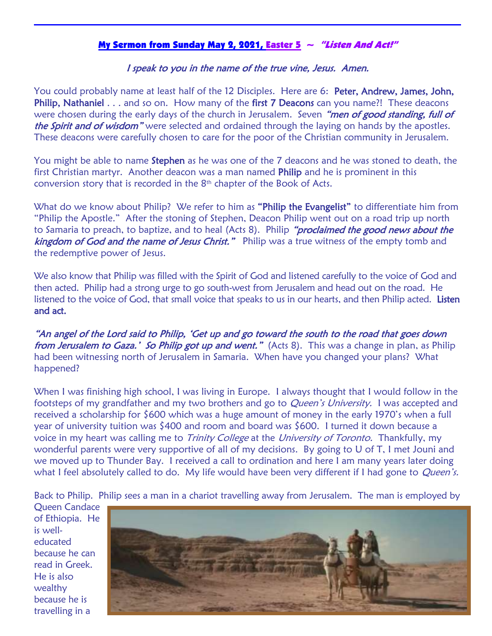## My Sermon from Sunday May 2, 2021, Easter 5  $\sim$  "Listen And Act!"

## I speak to you in the name of the true vine, Jesus. Amen.

You could probably name at least half of the 12 Disciples. Here are 6: Peter, Andrew, James, John, Philip, Nathaniel . . . and so on. How many of the first 7 Deacons can you name?! These deacons were chosen during the early days of the church in Jerusalem. Seven "men of good standing, full of the Spirit and of wisdom" were selected and ordained through the laying on hands by the apostles. These deacons were carefully chosen to care for the poor of the Christian community in Jerusalem.

You might be able to name **Stephen** as he was one of the 7 deacons and he was stoned to death, the first Christian martyr. Another deacon was a man named Philip and he is prominent in this conversion story that is recorded in the  $8<sup>th</sup>$  chapter of the Book of Acts.

What do we know about Philip? We refer to him as "Philip the Evangelist" to differentiate him from "Philip the Apostle." After the stoning of Stephen, Deacon Philip went out on a road trip up north to Samaria to preach, to baptize, and to heal (Acts 8). Philip "proclaimed the good news about the kingdom of God and the name of Jesus Christ." Philip was a true witness of the empty tomb and the redemptive power of Jesus.

We also know that Philip was filled with the Spirit of God and listened carefully to the voice of God and then acted. Philip had a strong urge to go south-west from Jerusalem and head out on the road. He listened to the voice of God, that small voice that speaks to us in our hearts, and then Philip acted. Listen and act.

"An angel of the Lord said to Philip, 'Get up and go toward the south to the road that goes down from Jerusalem to Gaza.' So Philip got up and went." (Acts 8). This was a change in plan, as Philip had been witnessing north of Jerusalem in Samaria. When have you changed your plans? What happened?

When I was finishing high school, I was living in Europe. I always thought that I would follow in the footsteps of my grandfather and my two brothers and go to *Queen's University*. I was accepted and received a scholarship for \$600 which was a huge amount of money in the early 1970's when a full year of university tuition was \$400 and room and board was \$600. I turned it down because a voice in my heart was calling me to *Trinity College* at the *University of Toronto*. Thankfully, my wonderful parents were very supportive of all of my decisions. By going to U of T, I met Jouni and we moved up to Thunder Bay. I received a call to ordination and here I am many years later doing what I feel absolutely called to do. My life would have been very different if I had gone to *Queen's.* 

Back to Philip. Philip sees a man in a chariot travelling away from Jerusalem. The man is employed by

Queen Candace of Ethiopia. He is welleducated because he can read in Greek. He is also wealthy because he is travelling in a

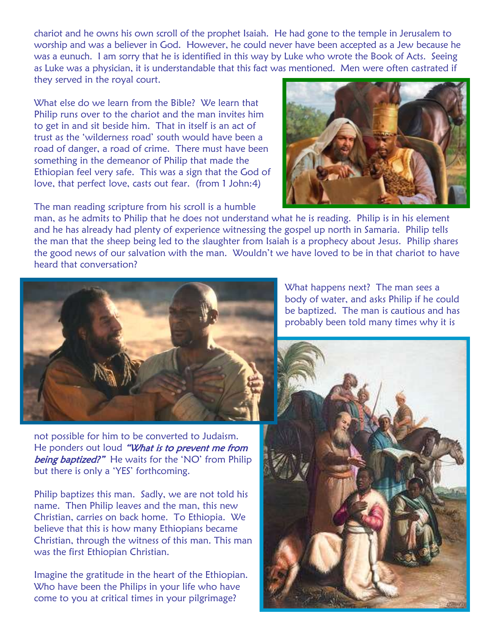chariot and he owns his own scroll of the prophet Isaiah. He had gone to the temple in Jerusalem to worship and was a believer in God. However, he could never have been accepted as a Jew because he was a eunuch. I am sorry that he is identified in this way by Luke who wrote the Book of Acts. Seeing as Luke was a physician, it is understandable that this fact was mentioned. Men were often castrated if they served in the royal court.

What else do we learn from the Bible? We learn that Philip runs over to the chariot and the man invites him to get in and sit beside him. That in itself is an act of trust as the 'wilderness road' south would have been a road of danger, a road of crime. There must have been something in the demeanor of Philip that made the Ethiopian feel very safe. This was a sign that the God of love, that perfect love, casts out fear. (from 1 John:4)

The man reading scripture from his scroll is a humble



man, as he admits to Philip that he does not understand what he is reading. Philip is in his element and he has already had plenty of experience witnessing the gospel up north in Samaria. Philip tells the man that the sheep being led to the slaughter from Isaiah is a prophecy about Jesus. Philip shares the good news of our salvation with the man. Wouldn't we have loved to be in that chariot to have heard that conversation?



not possible for him to be converted to Judaism. He ponders out loud "What is to prevent me from being baptized?" He waits for the 'NO' from Philip but there is only a 'YES' forthcoming.

Philip baptizes this man. Sadly, we are not told his name. Then Philip leaves and the man, this new Christian, carries on back home. To Ethiopia. We believe that this is how many Ethiopians became Christian, through the witness of this man. This man was the first Ethiopian Christian.

Imagine the gratitude in the heart of the Ethiopian. Who have been the Philips in your life who have come to you at critical times in your pilgrimage?

What happens next? The man sees a body of water, and asks Philip if he could be baptized. The man is cautious and has probably been told many times why it is